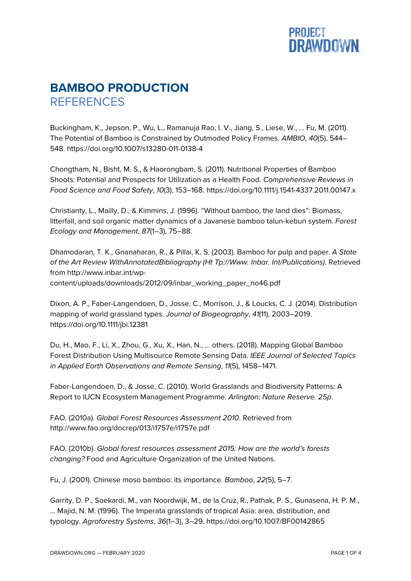

## **BAMBOO PRODUCTION REFERENCES**

Buckingham, K., Jepson, P., Wu, L., Ramanuja Rao, I. V., Jiang, S., Liese, W., … Fu, M. (2011). The Potential of Bamboo is Constrained by Outmoded Policy Frames. *AMBIO*, *40*(5), 544– 548. https://doi.org/10.1007/s13280-011-0138-4

Chongtham, N., Bisht, M. S., & Haorongbam, S. (2011). Nutritional Properties of Bamboo Shoots: Potential and Prospects for Utilization as a Health Food. *Comprehensive Reviews in Food Science and Food Safety*, *10*(3), 153–168. https://doi.org/10.1111/j.1541-4337.2011.00147.x

Christianty, L., Mailly, D., & Kimmins, J. (1996). "Without bamboo, the land dies": Biomass, litterfall, and soil organic matter dynamics of a Javanese bamboo talun-kebun system. *Forest Ecology and Management*, *87*(1–3), 75–88.

Dhamodaran, T. K., Gnanaharan, R., & Pillai, K. S. (2003). Bamboo for pulp and paper. *A State of the Art Review WithAnnotatedBibliography (Ht Tp://Www. Inbar. Int/Publications)*. Retrieved from http://www.inbar.int/wpcontent/uploads/downloads/2012/09/inbar\_working\_paper\_no46.pdf

Dixon, A. P., Faber-Langendoen, D., Josse, C., Morrison, J., & Loucks, C. J. (2014). Distribution mapping of world grassland types. *Journal of Biogeography*, *41*(11), 2003–2019. https://doi.org/10.1111/jbi.12381

Du, H., Mao, F., Li, X., Zhou, G., Xu, X., Han, N., … others. (2018). Mapping Global Bamboo Forest Distribution Using Multisource Remote Sensing Data. *IEEE Journal of Selected Topics in Applied Earth Observations and Remote Sensing*, *11*(5), 1458–1471.

Faber-Langendoen, D., & Josse, C. (2010). World Grasslands and Biodiversity Patterns: A Report to IUCN Ecosystem Management Programme. *Arlington: Nature Reserve. 25p*.

FAO. (2010a). *Global Forest Resources Assessment 2010*. Retrieved from http://www.fao.org/docrep/013/i1757e/i1757e.pdf

FAO. (2010b). *Global forest resources assessment 2015: How are the world's forests changing?* Food and Agriculture Organization of the United Nations.

Fu, J. (2001). Chinese moso bamboo: its importance. *Bamboo*, *22*(5), 5–7.

Garrity, D. P., Soekardi, M., van Noordwijk, M., de la Cruz, R., Pathak, P. S., Gunasena, H. P. M., … Majid, N. M. (1996). The Imperata grasslands of tropical Asia: area, distribution, and typology. *Agroforestry Systems*, *36*(1–3), 3–29. https://doi.org/10.1007/BF00142865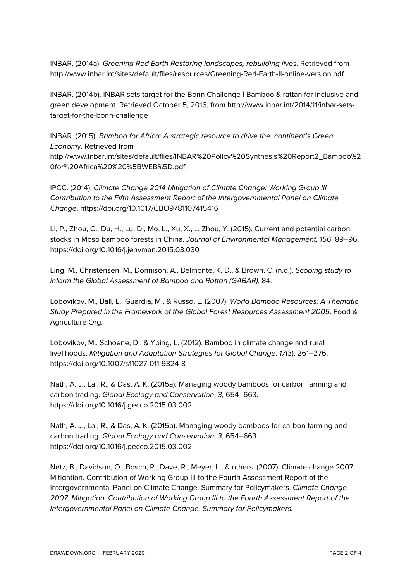INBAR. (2014a). *Greening Red Earth Restoring landscapes, rebuilding lives*. Retrieved from http://www.inbar.int/sites/default/files/resources/Greening-Red-Earth-II-online-version.pdf

INBAR. (2014b). INBAR sets target for the Bonn Challenge | Bamboo & rattan for inclusive and green development. Retrieved October 5, 2016, from http://www.inbar.int/2014/11/inbar-setstarget-for-the-bonn-challenge

INBAR. (2015). *Bamboo for Africa: A strategic resource to drive the continent's Green Economy*. Retrieved from http://www.inbar.int/sites/default/files/INBAR%20Policy%20Synthesis%20Report2\_Bamboo%2

0for%20Africa%20%20%5BWEB%5D.pdf

IPCC. (2014). *Climate Change 2014 Mitigation of Climate Change: Working Group III Contribution to the Fifth Assessment Report of the Intergovernmental Panel on Climate Change*. https://doi.org/10.1017/CBO9781107415416

Li, P., Zhou, G., Du, H., Lu, D., Mo, L., Xu, X., … Zhou, Y. (2015). Current and potential carbon stocks in Moso bamboo forests in China. *Journal of Environmental Management*, *156*, 89–96. https://doi.org/10.1016/j.jenvman.2015.03.030

Ling, M., Christensen, M., Donnison, A., Belmonte, K. D., & Brown, C. (n.d.). *Scoping study to inform the Global Assessment of Bamboo and Rattan (GABAR)*. 84.

Lobovikov, M., Ball, L., Guardia, M., & Russo, L. (2007). *World Bamboo Resources: A Thematic Study Prepared in the Framework of the Global Forest Resources Assessment 2005*. Food & Agriculture Org.

Lobovikov, M., Schoene, D., & Yping, L. (2012). Bamboo in climate change and rural livelihoods. *Mitigation and Adaptation Strategies for Global Change*, *17*(3), 261–276. https://doi.org/10.1007/s11027-011-9324-8

Nath, A. J., Lal, R., & Das, A. K. (2015a). Managing woody bamboos for carbon farming and carbon trading. *Global Ecology and Conservation*, *3*, 654–663. https://doi.org/10.1016/j.gecco.2015.03.002

Nath, A. J., Lal, R., & Das, A. K. (2015b). Managing woody bamboos for carbon farming and carbon trading. *Global Ecology and Conservation*, *3*, 654–663. https://doi.org/10.1016/j.gecco.2015.03.002

Netz, B., Davidson, O., Bosch, P., Dave, R., Meyer, L., & others. (2007). Climate change 2007: Mitigation. Contribution of Working Group III to the Fourth Assessment Report of the Intergovernmental Panel on Climate Change. Summary for Policymakers. *Climate Change 2007: Mitigation. Contribution of Working Group III to the Fourth Assessment Report of the Intergovernmental Panel on Climate Change. Summary for Policymakers.*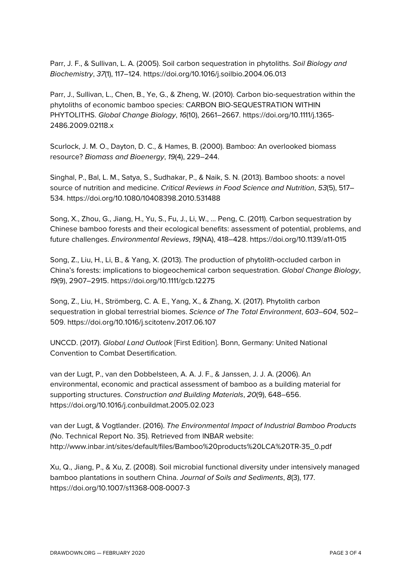Parr, J. F., & Sullivan, L. A. (2005). Soil carbon sequestration in phytoliths. *Soil Biology and Biochemistry*, *37*(1), 117–124. https://doi.org/10.1016/j.soilbio.2004.06.013

Parr, J., Sullivan, L., Chen, B., Ye, G., & Zheng, W. (2010). Carbon bio-sequestration within the phytoliths of economic bamboo species: CARBON BIO-SEQUESTRATION WITHIN PHYTOLITHS. *Global Change Biology*, *16*(10), 2661–2667. https://doi.org/10.1111/j.1365- 2486.2009.02118.x

Scurlock, J. M. O., Dayton, D. C., & Hames, B. (2000). Bamboo: An overlooked biomass resource? *Biomass and Bioenergy*, *19*(4), 229–244.

Singhal, P., Bal, L. M., Satya, S., Sudhakar, P., & Naik, S. N. (2013). Bamboo shoots: a novel source of nutrition and medicine. *Critical Reviews in Food Science and Nutrition*, *53*(5), 517– 534. https://doi.org/10.1080/10408398.2010.531488

Song, X., Zhou, G., Jiang, H., Yu, S., Fu, J., Li, W., … Peng, C. (2011). Carbon sequestration by Chinese bamboo forests and their ecological benefits: assessment of potential, problems, and future challenges. *Environmental Reviews*, *19*(NA), 418–428. https://doi.org/10.1139/a11-015

Song, Z., Liu, H., Li, B., & Yang, X. (2013). The production of phytolith-occluded carbon in China's forests: implications to biogeochemical carbon sequestration. *Global Change Biology*, *19*(9), 2907–2915. https://doi.org/10.1111/gcb.12275

Song, Z., Liu, H., Strömberg, C. A. E., Yang, X., & Zhang, X. (2017). Phytolith carbon sequestration in global terrestrial biomes. *Science of The Total Environment*, *603*–*604*, 502– 509. https://doi.org/10.1016/j.scitotenv.2017.06.107

UNCCD. (2017). *Global Land Outlook* [First Edition]. Bonn, Germany: United National Convention to Combat Desertification.

van der Lugt, P., van den Dobbelsteen, A. A. J. F., & Janssen, J. J. A. (2006). An environmental, economic and practical assessment of bamboo as a building material for supporting structures. *Construction and Building Materials*, *20*(9), 648–656. https://doi.org/10.1016/j.conbuildmat.2005.02.023

van der Lugt, & Vogtlander. (2016). *The Environmental Impact of Industrial Bamboo Products* (No. Technical Report No. 35). Retrieved from INBAR website: http://www.inbar.int/sites/default/files/Bamboo%20products%20LCA%20TR-35\_0.pdf

Xu, Q., Jiang, P., & Xu, Z. (2008). Soil microbial functional diversity under intensively managed bamboo plantations in southern China. *Journal of Soils and Sediments*, *8*(3), 177. https://doi.org/10.1007/s11368-008-0007-3